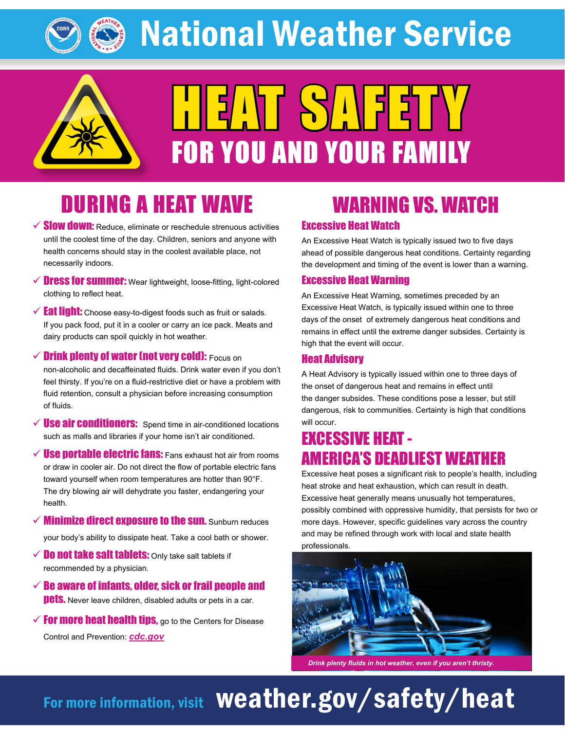National Weather Service



# HEAT SAFETY FOR YOU AND YOUR FAMILY

## DURING A HEAT WAVE

- $\checkmark$  Slow down: Reduce, eliminate or reschedule strenuous activities until the coolest time of the day. Children, seniors and anyone with health concerns should stay in the coolest available place, not necessarily indoors.
- $\checkmark$  Dress for summer: Wear lightweight, loose-fitting, light-colored clothing to reflect heat.
- $\checkmark$  Eat light: Choose easy-to-digest foods such as fruit or salads. If you pack food, put it in a cooler or carry an ice pack. Meats and dairy products can spoil quickly in hot weather.
- $\checkmark$  Drink plenty of water (not very cold): Focus on non-alcoholic and decaffeinated fluids. Drink water even if you don't feel thirsty. If you're on a fluid-restrictive diet or have a problem with fluid retention, consult a physician before increasing consumption of fluids.
- $\checkmark$  **Use air conditioners:** Spend time in air-conditioned locations such as malls and libraries if your home isn't air conditioned.
- $\checkmark$  Use portable electric fans: Fans exhaust hot air from rooms or draw in cooler air. Do not direct the flow of portable electric fans toward yourself when room temperatures are hotter than 90°F. The dry blowing air will dehydrate you faster, endangering your health.
- $\checkmark$  Minimize direct exposure to the sun. Sunburn reduces your body's ability to dissipate heat. Take a cool bath or shower.
- $\checkmark$  Do not take salt tablets: Only take salt tablets if recommended by a physician.
- $\checkmark$  Be aware of infants, older, sick or frail people and **pets.** Never leave children, disabled adults or pets in a car.
- $\checkmark$  For more heat health tips, go to the Centers for Disease Control and Prevention: *[cdc.gov](https://www.cdc.gov)*

### WARNING VS. WATCH

### Excessive Heat Watch

An Excessive Heat Watch is typically issued two to five days ahead of possible dangerous heat conditions. Certainty regarding the development and timing of the event is lower than a warning.

### Excessive Heat Warning

An Excessive Heat Warning, sometimes preceded by an Excessive Heat Watch, is typically issued within one to three days of the onset of extremely dangerous heat conditions and remains in effect until the extreme danger subsides. Certainty is high that the event will occur.

### Heat Advisory

A Heat Advisory is typically issued within one to three days of the onset of dangerous heat and remains in effect until the danger subsides. These conditions pose a lesser, but still dangerous, risk to communities. Certainty is high that conditions will occur.

### EXCESSIVE HEAT - AMERICA'S DEADLIEST WEATHER

Excessive heat poses a significant risk to people's health, including heat stroke and heat exhaustion, which can result in death. Excessive heat generally means unusually hot temperatures, possibly combined with oppressive humidity, that persists for two or more days. However, specific guidelines vary across the country and may be refined through work with local and state health professionals.



*Drink plenty fluids in hot weather, even if you aren't thristy.* 

# For more information, visit Weather.gov/safety/heat